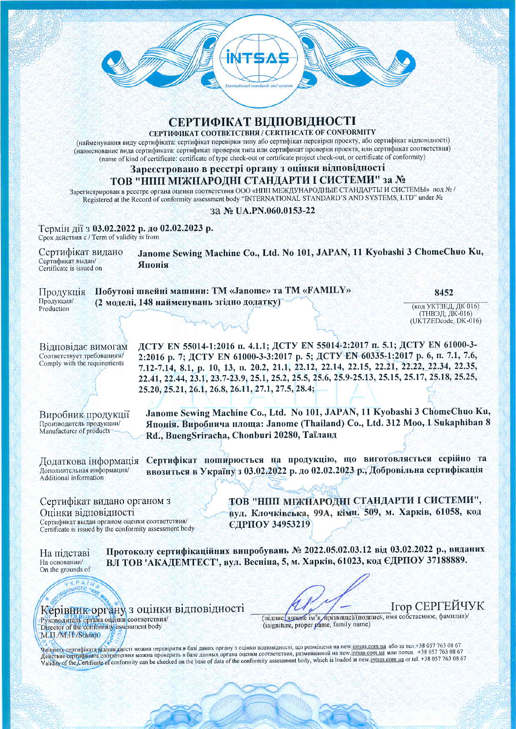

# СЕРТИФІКАТ ВІДПОВІДНОСТІ

СЕРТИФИКАТ СООТВЕТСТВИЯ / CERTIFICATE OF CONFORMITY

(найменування виду сертифіката: сертифікат перевірки типу або сертифікат перевірки проекту, або сертифікат відповідності) (наименование вида сертификата: сертификат проверки типа или сертификат проверки проекта, или сертификат соответствия) (name of kind of certificate: certificate of type check-out or certificate project check-out, or certificate of conformity)

#### Зареєстровано в реєстрі органу з оцінки відповідності

#### ТОВ "НПП МІЖНАРОДНІ СТАНДАРТИ І СИСТЕМИ" за №

Зарегистрирован в реестре органа оценки соответствия ООО «НПП МЕЖДУНАРОДНЫЕ СТАНДАРТЫ И СИСТЕМЫ» под № / Registered at the Record of conformity assessment body "INTERNATIONAL STANDARD'S AND SYSTEMS, LTD" under No

#### 3a Nº UA.PN.060.0153-22

Термін дії з 03.02.2022 р. до 02.02.2023 р. Срок действия с / Term of validity is from

Janome Sewing Machine Co., Ltd. No 101, JAPAN, 11 Kyobashi 3 ChomeChuo Ku, Сертифікат видано Сертификат выдан/ Японія Certificate is issued on

#### Побутові швейні машини: ТМ «Janome» та ТМ «FAMILY» Продукція Продукция/ (2 моделі, 148 найменувань згідно додатку) Production

8452

(код УКТЗЕД, ДК 016) (ТНВЭД; ДК-016) (UKTZEDcode, DK-016)

Відповідає вимогам Соответствует требованиям/ Comply with the requirements

ЛСТУ ЕМ 55014-1:2016 п. 4.1.1; ДСТУ ЕМ 55014-2:2017 п. 5.1; ДСТУ ЕМ 61000-3-2:2016 p. 7; ACTY EN 61000-3-3:2017 p. 5; ACTY EN 60335-1:2017 p. 6, n. 7.1, 7.6, 7.12-7.14, 8.1, p. 10, 13, n. 20.2, 21.1, 22.12, 22.14, 22.15, 22.21, 22.22, 22.34, 22.35, 22.41, 22.44, 23.1, 23.7-23.9, 25.1, 25.2, 25.5, 25.6, 25.9-25.13, 25.15, 25.17, 25.18, 25.25, 25.20, 25.21, 26.1, 26.8, 26.11, 27.1, 27.5, 28.4;

Виробник продукції Производитель продукции/ Manufacturer of products

Японія. Виробнича площа: Janome (Thailand) Co., Ltd. 312 Moo, 1 Sukaphiban 8 Rd., BuengSriracha, Chonburi 20280, Таїланд

Дополнительная информация/ Additional information

Додаткова інформація Сертифікат поширюється на продукцію, що виготовляється серійно та ввозиться в Україну з 03.02.2022 р. до 02.02.2023 р., Добровільна сертифікація

Janome Sewing Machine Co., Ltd. No 101, JAPAN, 11 Kyobashi 3 ChomeChuo Ku,

Сертифікат видано органом з Опінки вілповідності Сертификат выдан органом оценки соответствия/ Certificate is issued by the conformity assessment body ТОВ "НПП МІЖНАРОДНІ СТАНДАРТИ І СИСТЕМИ". вул. Клочківська, 99А, кімн. 509, м. Харків, 61058, код **ЄДРПОУ 34953219** 

На підставі На основании/ On the grounds of Протоколу сертифікаційних випробувань № 2022.05.02.03.12 від 03.02.2022 р., виданих ВЛ ТОВ 'АКАДЕМТЕСТ', вул. Весніна, 5, м. Харків, 61023, код ЄДРПОУ 37188889.



**Ігор СЕРГЕЙЧУК** 

(підпис/вдаене ім'я, прізвище)/(подпись, имя собственное, фамилия)/ (isigniture, proper pame, family name)

Чиннеть сертифіката білповідності можна перевірити в базі даних органу з оцінки відповідності, що розміщена на пеw intsas.com.ua або за тел.+38 057 763 08 67 Действие сертификата соответствия можна проверить в базе данных органа оценки соответствия, размещенной на new.intsas.com.ua или потел. +38 057 763 08 67 Validity of the Certificate of conformity can be checked on the base of data of the conformity assessment body, which is loaded at new intsas.com ua or tel. +38 057 763 08 67